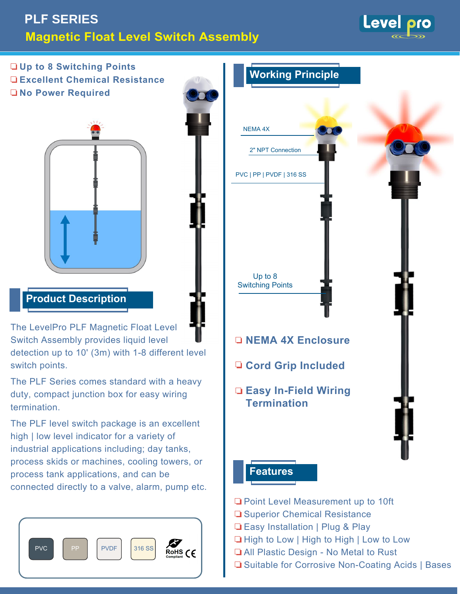# **PLF SERIES Magnetic Float Level Switch Assembly**

Level pro

**Up to 8 Switching Points Excellent Chemical Resistance No Power Required** 



## **Product Description**

The LevelPro PLF Magnetic Float Level Switch Assembly provides liquid level detection up to 10' (3m) with 1-8 different level switch points.

The PLF Series comes standard with a heavy duty, compact junction box for easy wiring **termination** 

The PLF level switch package is an excellent high | low level indicator for a variety of industrial applications including; day tanks, process skids or machines, cooling towers, or process tank applications, and can be connected directly to a valve, alarm, pump etc.





- Point Level Measurement up to 10ft
- **■** Superior Chemical Resistance
- □ Easy Installation | Plug & Play
- **High to Low | High to High | Low to Low**
- **H** All Plastic Design No Metal to Rust
- **□** Suitable for Corrosive Non-Coating Acids | Bases